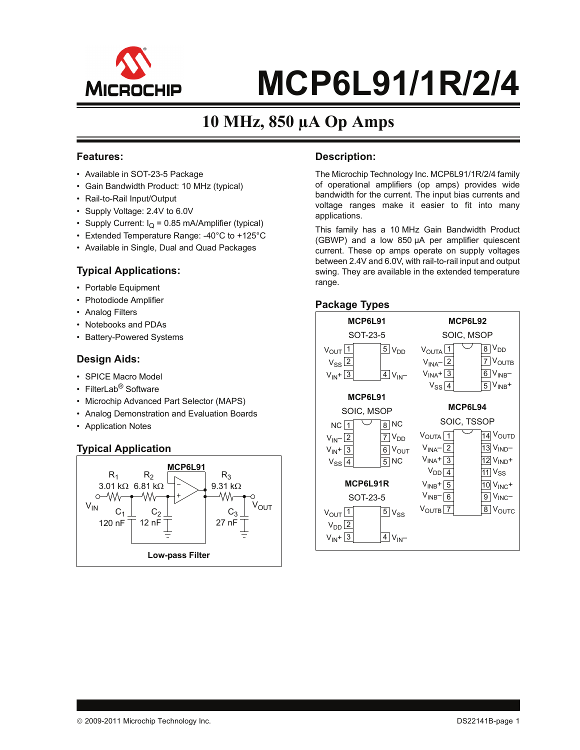

# **10 MHz, 850 µA Op Amps**

#### **Features:**

- Available in SOT-23-5 Package
- Gain Bandwidth Product: 10 MHz (typical)
- Rail-to-Rail Input/Output
- Supply Voltage: 2.4V to 6.0V
- Supply Current:  $I_Q = 0.85$  mA/Amplifier (typical)
- Extended Temperature Range: -40°C to +125°C
- Available in Single, Dual and Quad Packages

#### **Typical Applications:**

- Portable Equipment
- Photodiode Amplifier
- Analog Filters
- Notebooks and PDAs
- Battery-Powered Systems

#### **Design Aids:**

- SPICE Macro Model
- FilterLab<sup>®</sup> Software
- Microchip Advanced Part Selector (MAPS)
- Analog Demonstration and Evaluation Boards
- Application Notes

### **Typical Application**



#### **Description:**

The Microchip Technology Inc. MCP6L91/1R/2/4 family of operational amplifiers (op amps) provides wide bandwidth for the current. The input bias currents and voltage ranges make it easier to fit into many applications.

This family has a 10 MHz Gain Bandwidth Product (GBWP) and a low 850 µA per amplifier quiescent current. These op amps operate on supply voltages between 2.4V and 6.0V, with rail-to-rail input and output swing. They are available in the extended temperature range.

#### **Package Types**

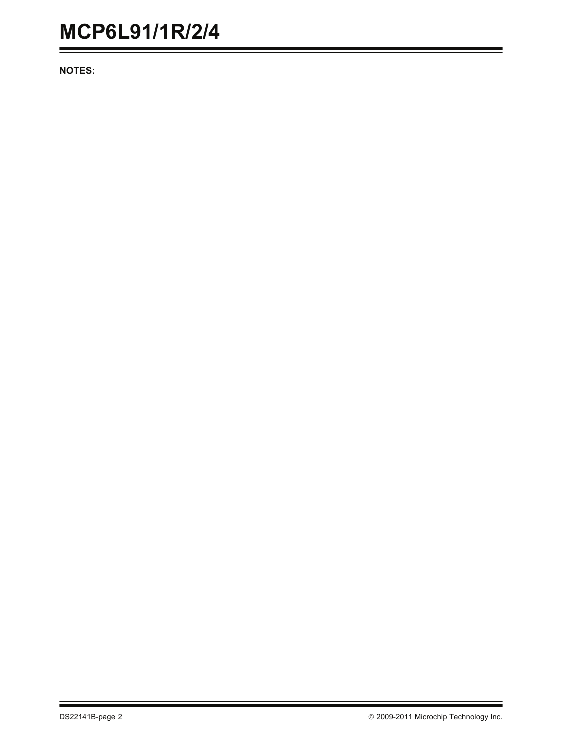**NOTES:**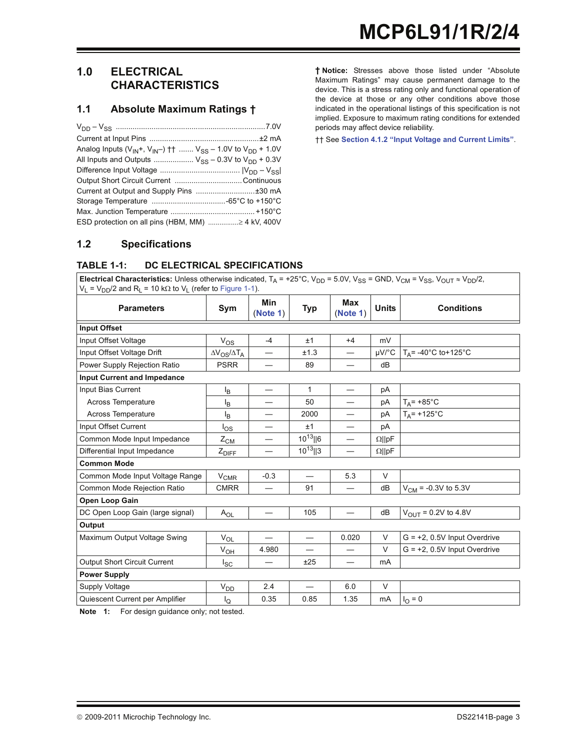#### **1.0 ELECTRICAL CHARACTERISTICS**

#### <span id="page-2-2"></span><span id="page-2-1"></span>**1.1 Absolute Maximum Ratings †**

| Analog Inputs ( $V_{IN}$ +, $V_{IN}$ -) †† $V_{SS}$ – 1.0V to $V_{DD}$ + 1.0V |  |
|-------------------------------------------------------------------------------|--|
| All Inputs and Outputs $V_{SS}$ – 0.3V to $V_{DD}$ + 0.3V                     |  |
|                                                                               |  |
|                                                                               |  |
|                                                                               |  |
|                                                                               |  |
|                                                                               |  |
| ESD protection on all pins (HBM, MM)  4 kV, 400V                              |  |

**† Notice:** Stresses above those listed under "Absolute Maximum Ratings" may cause permanent damage to the device. This is a stress rating only and functional operation of the device at those or any other conditions above those indicated in the operational listings of this specification is not implied. Exposure to maximum rating conditions for extended periods may affect device reliability.

†† See **[Section 4.1.2 "Input Voltage and Current Limits"](#page-10-0)**.

#### **1.2 Specifications**

#### **TABLE 1-1: DC ELECTRICAL SPECIFICATIONS**

**Electrical Characteristics:** Unless otherwise indicated,  $T_A$  = +25°C,  $V_{DD}$  = 5.0V,  $V_{SS}$  = GND,  $V_{CM}$  =  $V_{SS}$ ,  $V_{OUT} \approx V_{DD}/2$ ,  $V_L = V_{DD}/2$  and R<sub>L</sub> = 10 k $\Omega$  to V<sub>L</sub> (refer to [Figure 1-1](#page-3-0)).

| <b>Parameters</b>                   | Sym                        | Min<br>(Note 1)          | <b>Typ</b>               | <b>Max</b><br>(Note 1)         | <b>Units</b>  | <b>Conditions</b>               |
|-------------------------------------|----------------------------|--------------------------|--------------------------|--------------------------------|---------------|---------------------------------|
| <b>Input Offset</b>                 |                            |                          |                          |                                |               |                                 |
| Input Offset Voltage                | $V_{OS}$                   | $-4$                     | ±1                       | $+4$                           | mV            |                                 |
| Input Offset Voltage Drift          | $\Delta V_{OS}/\Delta T_A$ | —                        | ±1.3                     | $\overbrace{\phantom{123321}}$ | $\mu$ V/°C    | $T_A$ = -40°C to+125°C          |
| Power Supply Rejection Ratio        | <b>PSRR</b>                |                          | 89                       |                                | dB            |                                 |
| <b>Input Current and Impedance</b>  |                            |                          |                          |                                |               |                                 |
| Input Bias Current                  | ΙB                         | —                        | $\mathbf{1}$             |                                | рA            |                                 |
| <b>Across Temperature</b>           | ΙB                         |                          | 50                       |                                | pA            | $T_A$ = +85°C                   |
| <b>Across Temperature</b>           | l <sub>B</sub>             |                          | 2000                     |                                | pA            | $T_A$ = +125°C                  |
| Input Offset Current                | $I_{OS}$                   |                          | ±1                       |                                | pA            |                                 |
| Common Mode Input Impedance         | $Z_{CM}$                   |                          | $10^{13}$   6            |                                | $\Omega$   pF |                                 |
| Differential Input Impedance        | $Z_{DIEE}$                 | $\overline{\phantom{0}}$ | $10^{13}$   3            |                                | $\Omega$   pF |                                 |
| <b>Common Mode</b>                  |                            |                          |                          |                                |               |                                 |
| Common Mode Input Voltage Range     | $V_{CMR}$                  | $-0.3$                   |                          | 5.3                            | V             |                                 |
| Common Mode Rejection Ratio         | <b>CMRR</b>                | —                        | 91                       | —                              | dB            | $V_{CM}$ = -0.3V to 5.3V        |
| Open Loop Gain                      |                            |                          |                          |                                |               |                                 |
| DC Open Loop Gain (large signal)    | $A_{OL}$                   | $\overline{\phantom{0}}$ | 105                      |                                | dB            | $V_{\text{OUT}} = 0.2V$ to 4.8V |
| Output                              |                            |                          |                          |                                |               |                                 |
| Maximum Output Voltage Swing        | $V_{OL}$                   |                          | $\overline{\phantom{0}}$ | 0.020                          | V             | $G = +2$ , 0.5V Input Overdrive |
|                                     | $V_{OH}$                   | 4.980                    |                          |                                | V             | $G = +2$ , 0.5V Input Overdrive |
| <b>Output Short Circuit Current</b> | $I_{SC}$                   | —                        | ±25                      |                                | mA            |                                 |
| <b>Power Supply</b>                 |                            |                          |                          |                                |               |                                 |
| Supply Voltage                      | $V_{DD}$                   | 2.4                      |                          | 6.0                            | $\vee$        |                                 |
| Quiescent Current per Amplifier     | l <sub>Q</sub>             | 0.35                     | 0.85                     | 1.35                           | mA            | $I_{\rm O} = 0$                 |

<span id="page-2-0"></span>**Note 1:** For design guidance only; not tested.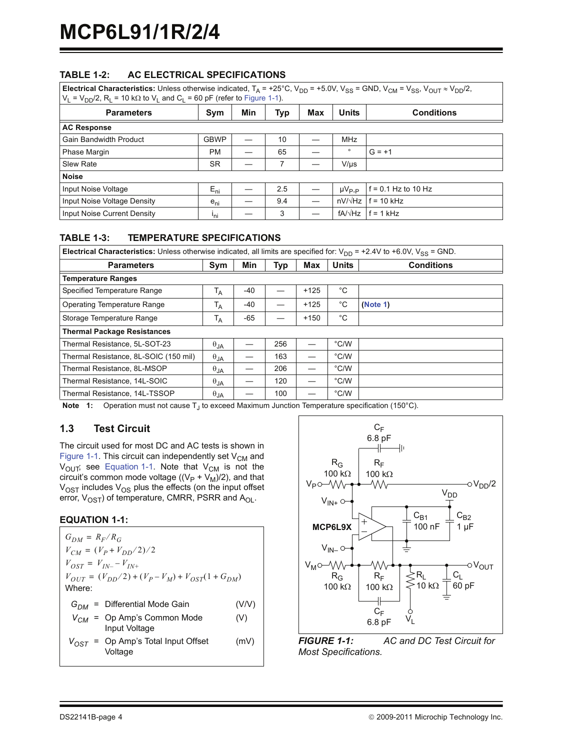#### **TABLE 1-2: AC ELECTRICAL SPECIFICATIONS**

| <b>Electrical Characteristics:</b> Unless otherwise indicated, $T_A = +25^{\circ}C$ , $V_{DD} = +5.0V$ , $V_{SS} = GND$ , $V_{CM} = V_{SS}$ , $V_{OUT} \approx V_{DD}/2$ ,<br>$V_L = V_{DD}/2$ , R <sub>L</sub> = 10 k $\Omega$ to V <sub>L</sub> and C <sub>L</sub> = 60 pF (refer to Figure 1-1). |             |     |     |     |                 |                   |  |  |  |
|-----------------------------------------------------------------------------------------------------------------------------------------------------------------------------------------------------------------------------------------------------------------------------------------------------|-------------|-----|-----|-----|-----------------|-------------------|--|--|--|
| <b>Parameters</b>                                                                                                                                                                                                                                                                                   | Sym         | Min | Typ | Max | <b>Units</b>    | <b>Conditions</b> |  |  |  |
| <b>AC Response</b>                                                                                                                                                                                                                                                                                  |             |     |     |     |                 |                   |  |  |  |
| <b>Gain Bandwidth Product</b>                                                                                                                                                                                                                                                                       | <b>GBWP</b> |     | 10  |     | <b>MHz</b>      |                   |  |  |  |
| Phase Margin                                                                                                                                                                                                                                                                                        | PM          |     | 65  |     | $\circ$         | $G = +1$          |  |  |  |
| Slew Rate                                                                                                                                                                                                                                                                                           | <b>SR</b>   |     |     |     | $V/\mu s$       |                   |  |  |  |
| <b>Noise</b>                                                                                                                                                                                                                                                                                        |             |     |     |     |                 |                   |  |  |  |
| .<br>.                                                                                                                                                                                                                                                                                              |             |     |     |     | $\cdot$ $\cdot$ | $\sim$<br>.       |  |  |  |

| Input Noise Voltage         | $E_{\text{ni}}$ | 2.5 | µV <sub>P-P</sub> | f = 0.1 Hz to 10 Hz |
|-----------------------------|-----------------|-----|-------------------|---------------------|
| Input Noise Voltage Density | $e_{ni}$        | 9.4 | nV/√Hz            | $f = 10$ kHz        |
| Input Noise Current Density | 'ni             | s.  | fA/√Hz            | $f = 1$ kHz         |
|                             |                 |     |                   |                     |

#### **TABLE 1-3: TEMPERATURE SPECIFICATIONS**

| <b>Electrical Characteristics:</b> Unless otherwise indicated, all limits are specified for: $V_{DD}$ = +2.4V to +6.0V, V <sub>SS</sub> = GND. |                |     |     |            |               |                   |  |  |
|------------------------------------------------------------------------------------------------------------------------------------------------|----------------|-----|-----|------------|---------------|-------------------|--|--|
| <b>Parameters</b>                                                                                                                              | Sym            | Min | Typ | <b>Max</b> | <b>Units</b>  | <b>Conditions</b> |  |  |
| <b>Temperature Ranges</b>                                                                                                                      |                |     |     |            |               |                   |  |  |
| Specified Temperature Range                                                                                                                    | T <sub>A</sub> | -40 |     | $+125$     | °C            |                   |  |  |
| Operating Temperature Range                                                                                                                    | Т <sub>А</sub> | -40 |     | $+125$     | $^{\circ}C$   | (Note 1)          |  |  |
| Storage Temperature Range                                                                                                                      | T <sub>A</sub> | -65 |     | $+150$     | °C            |                   |  |  |
| <b>Thermal Package Resistances</b>                                                                                                             |                |     |     |            |               |                   |  |  |
| Thermal Resistance, 5L-SOT-23                                                                                                                  | $\theta$ JA    |     | 256 |            | °C/W          |                   |  |  |
| Thermal Resistance, 8L-SOIC (150 mil)                                                                                                          | $\theta_{JA}$  |     | 163 |            | $\degree$ C/W |                   |  |  |
| Thermal Resistance, 8L-MSOP                                                                                                                    | $\theta$ JA    |     | 206 |            | $\degree$ C/W |                   |  |  |
| Thermal Resistance, 14L-SOIC                                                                                                                   | $\theta$ JA    |     | 120 |            | $\degree$ C/W |                   |  |  |
| Thermal Resistance, 14L-TSSOP                                                                                                                  | $\theta_{JA}$  |     | 100 |            | $\degree$ C/W |                   |  |  |

<span id="page-3-1"></span>**Note 1:** Operation must not cause T<sub>J</sub> to exceed Maximum Junction Temperature specification (150°C).

### **1.3 Test Circuit**

The circuit used for most DC and AC tests is shown in [Figure 1-1.](#page-3-0) This circuit can independently set  $V_{CM}$  and  $V_{\text{OUT}}$ ; see [Equation 1-1.](#page-3-2) Note that  $V_{\text{CM}}$  is not the circuit's common mode voltage ( $(V_P + V_M)/2$ ), and that  $V_{OST}$  includes  $V_{OS}$  plus the effects (on the input offset error,  $V_{OST}$ ) of temperature, CMRR, PSRR and  $A_{OL}$ .

#### <span id="page-3-2"></span>**EQUATION 1-1:**

| $G_{DM} = R_F/R_G$                                         |       |  |  |  |  |  |
|------------------------------------------------------------|-------|--|--|--|--|--|
| $V_{CM} = (V_p + V_{DD}/2)/2$                              |       |  |  |  |  |  |
| $V_{OST} = V_{IN-} - V_{IN+}$                              |       |  |  |  |  |  |
| $V_{OUT} = (V_{DD}/2) + (V_p - V_M) + V_{OST}(1 + G_{DM})$ |       |  |  |  |  |  |
| Where:                                                     |       |  |  |  |  |  |
| $G_{DM}$ = Differential Mode Gain                          | (V/V) |  |  |  |  |  |
| $V_{CM}$ = Op Amp's Common Mode<br>Input Voltage           | (V)   |  |  |  |  |  |
| $V_{OST}$ = Op Amp's Total Input Offset<br>Voltage         | (mV)  |  |  |  |  |  |



<span id="page-3-0"></span>*FIGURE 1-1: AC and DC Test Circuit for Most Specifications.*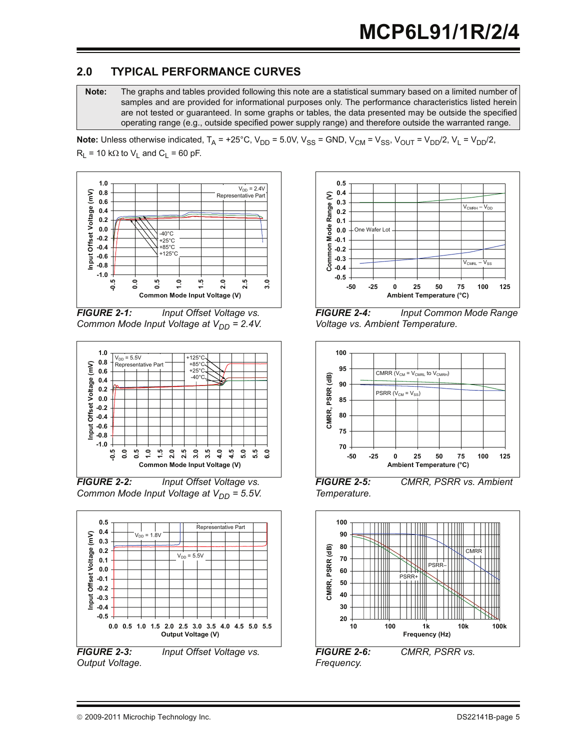# **2.0 TYPICAL PERFORMANCE CURVES**

**Note:** The graphs and tables provided following this note are a statistical summary based on a limited number of samples and are provided for informational purposes only. The performance characteristics listed herein are not tested or guaranteed. In some graphs or tables, the data presented may be outside the specified operating range (e.g., outside specified power supply range) and therefore outside the warranted range.

**Note:** Unless otherwise indicated,  $T_A = +25^{\circ}$ C,  $V_{DD} = 5.0$ V,  $V_{SS} = GND$ ,  $V_{CM} = V_{SS}$ ,  $V_{OUT} = V_{DD}/2$ ,  $V_L = V_{DD}/2$ ,  $R_L$  = 10 k $\Omega$  to  $V_L$  and  $C_L$  = 60 pF.



*FIGURE 2-1: Input Offset Voltage vs. Common Mode Input Voltage at V<sub>DD</sub> = 2.4V.* 



*FIGURE 2-2: Input Offset Voltage vs. Common Mode Input Voltage at V<sub>DD</sub> = 5.5V.* 



*Output Voltage.*



*FIGURE 2-4: Input Common Mode Range Voltage vs. Ambient Temperature.*



*Temperature.*



*Frequency.*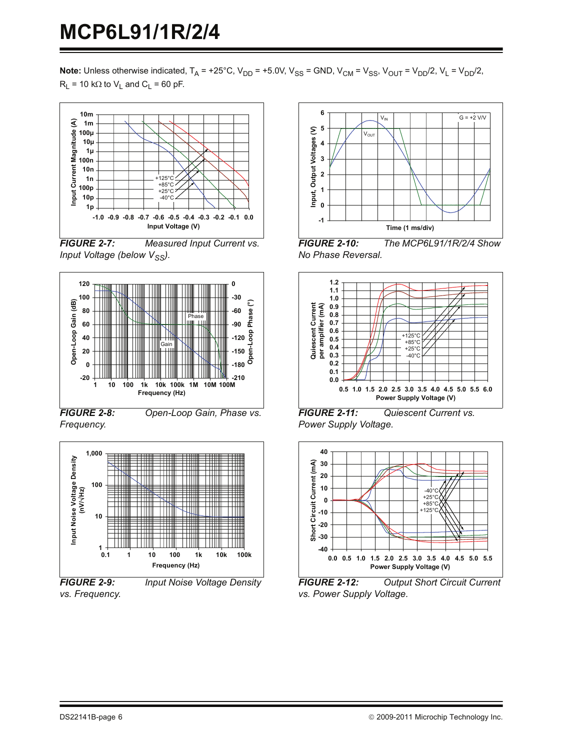**Note:** Unless otherwise indicated,  $T_A = +25^{\circ}C$ ,  $V_{DD} = +5.0V$ ,  $V_{SS} = GND$ ,  $V_{CM} = V_{SS}$ ,  $V_{OUT} = V_{DD}/2$ ,  $V_L = V_{DD}/2$ ,  $R_L$  = 10 k $\Omega$  to  $V_L$  and  $C_L$  = 60 pF.



<span id="page-5-1"></span>*FIGURE 2-7: Measured Input Current vs. Input Voltage (below V<sub>SS</sub>).* 



*FIGURE 2-8: Open-Loop Gain, Phase vs. Frequency.*



*vs. Frequency.*





<span id="page-5-0"></span>*FIGURE 2-10: The MCP6L91/1R/2/4 Show No Phase Reversal.*



*FIGURE 2-11: Quiescent Current vs. Power Supply Voltage.*



*FIGURE 2-12: Output Short Circuit Current vs. Power Supply Voltage.*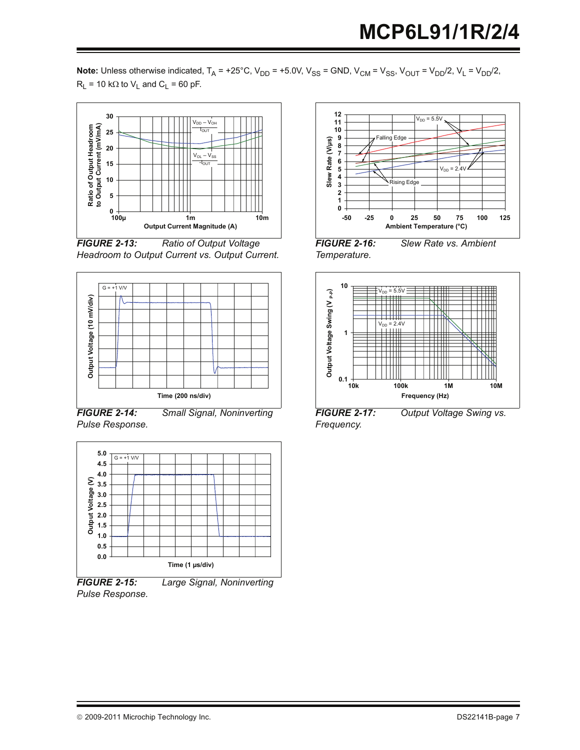**Note:** Unless otherwise indicated,  $T_A = +25^{\circ}C$ ,  $V_{DD} = +5.0V$ ,  $V_{SS} = GND$ ,  $V_{CM} = V_{SS}$ ,  $V_{OUT} = V_{DD}/2$ ,  $V_L = V_{DD}/2$ ,  $R_L$  = 10 k $\Omega$  to  $V_L$  and  $C_L$  = 60 pF.



<span id="page-6-0"></span>*FIGURE 2-13: Ratio of Output Voltage Headroom to Output Current vs. Output Current.*



<span id="page-6-1"></span>*FIGURE 2-14: Small Signal, Noninverting Pulse Response.*



*Pulse Response.*



*FIGURE 2-16: Slew Rate vs. Ambient Temperature.*



*FIGURE 2-17: Output Voltage Swing vs. Frequency.*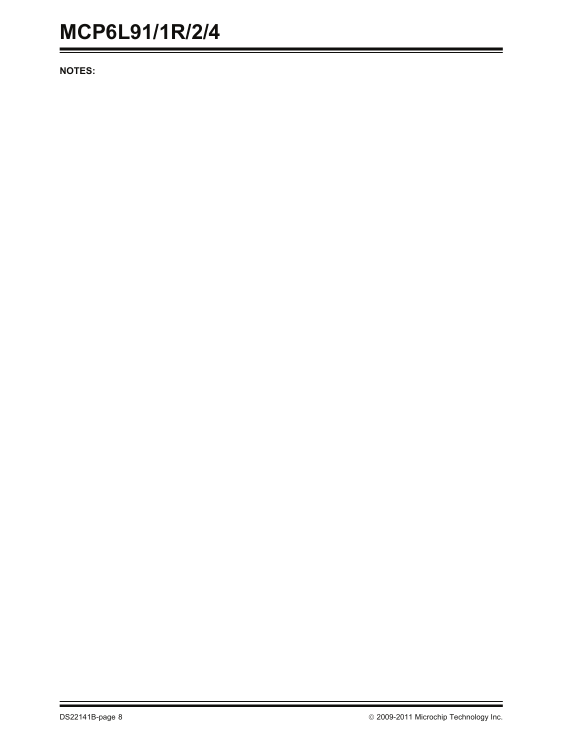**NOTES:**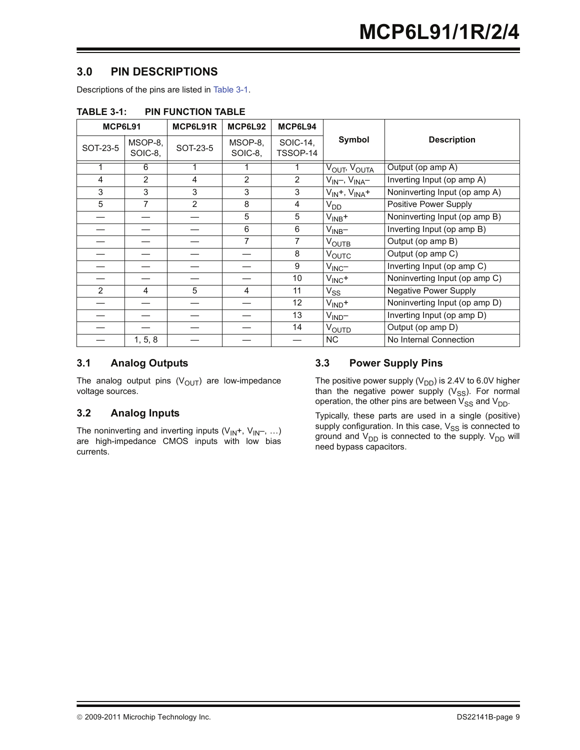# **3.0 PIN DESCRIPTIONS**

Descriptions of the pins are listed in [Table 3-1](#page-8-0).

| MCP6L91  |                    | MCP6L91R       | MCP6L92            | MCP6L94              |                          |                               |
|----------|--------------------|----------------|--------------------|----------------------|--------------------------|-------------------------------|
| SOT-23-5 | MSOP-8,<br>SOIC-8, | SOT-23-5       | MSOP-8,<br>SOIC-8, | SOIC-14.<br>TSSOP-14 | Symbol                   | <b>Description</b>            |
|          | 6                  |                |                    |                      | VOUT <sup>, V</sup> OUTA | Output (op amp A)             |
| 4        | $\overline{2}$     | 4              | $\overline{2}$     | 2                    | $V_{IN}$ , $V_{INA}$ –   | Inverting Input (op amp A)    |
| 3        | 3                  | 3              | 3                  | 3                    | $V_{IN}+$ , $V_{INA}+$   | Noninverting Input (op amp A) |
| 5        | 7                  | $\overline{2}$ | 8                  | 4                    | V <sub>DD</sub>          | Positive Power Supply         |
|          |                    |                | 5                  | 5                    | $V_{INB}$ +              | Noninverting Input (op amp B) |
|          |                    |                | 6                  | 6                    | $V_{INB}$                | Inverting Input (op amp B)    |
|          |                    |                | 7                  | 7                    | <b>VOUTB</b>             | Output (op amp B)             |
|          |                    |                |                    | 8                    | VOUTC                    | Output (op amp C)             |
|          |                    |                |                    | 9                    | $V_{\text{INC}}$         | Inverting Input (op amp C)    |
|          |                    |                |                    | 10                   | $V_{\text{INC}}$ +       | Noninverting Input (op amp C) |
| 2        | 4                  | 5              | 4                  | 11                   | $V_{SS}$                 | Negative Power Supply         |
|          |                    |                |                    | 12 <sup>°</sup>      | $VIND$ +                 | Noninverting Input (op amp D) |
|          |                    |                |                    | 13                   | $V_{\text{IND}}-$        | Inverting Input (op amp D)    |
|          |                    |                |                    | 14                   | VOUTD                    | Output (op amp D)             |
|          | 1, 5, 8            |                |                    |                      | NC.                      | No Internal Connection        |

<span id="page-8-0"></span>**TABLE 3-1: PIN FUNCTION TABLE**

#### **3.1 Analog Outputs**

The analog output pins  $(V<sub>OUT</sub>)$  are low-impedance voltage sources.

### **3.2 Analog Inputs**

The noninverting and inverting inputs  $(V_{1N}+, V_{1N-}, ...)$ are high-impedance CMOS inputs with low bias currents.

#### **3.3 Power Supply Pins**

The positive power supply  $(V_{DD})$  is 2.4V to 6.0V higher than the negative power supply  $(V_{SS})$ . For normal operation, the other pins are between  $V_{SS}$  and  $V_{DD}$ .

Typically, these parts are used in a single (positive) supply configuration. In this case,  $V_{SS}$  is connected to ground and  $V_{DD}$  is connected to the supply.  $V_{DD}$  will need bypass capacitors.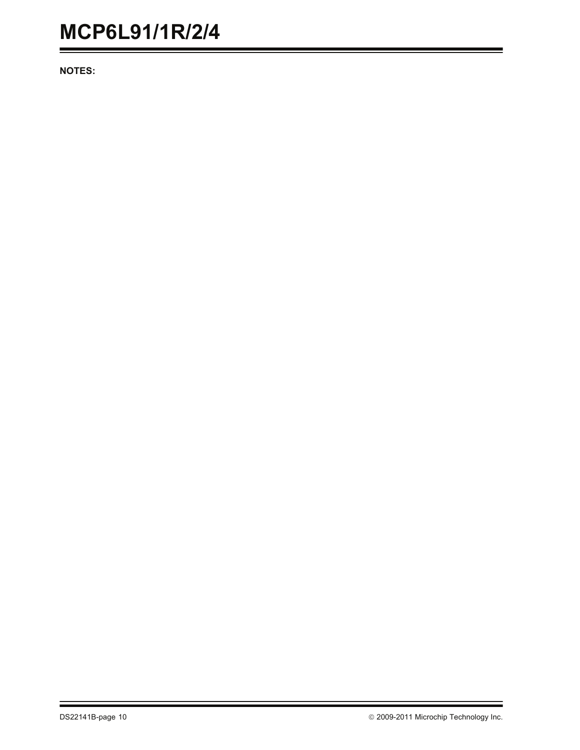**NOTES:**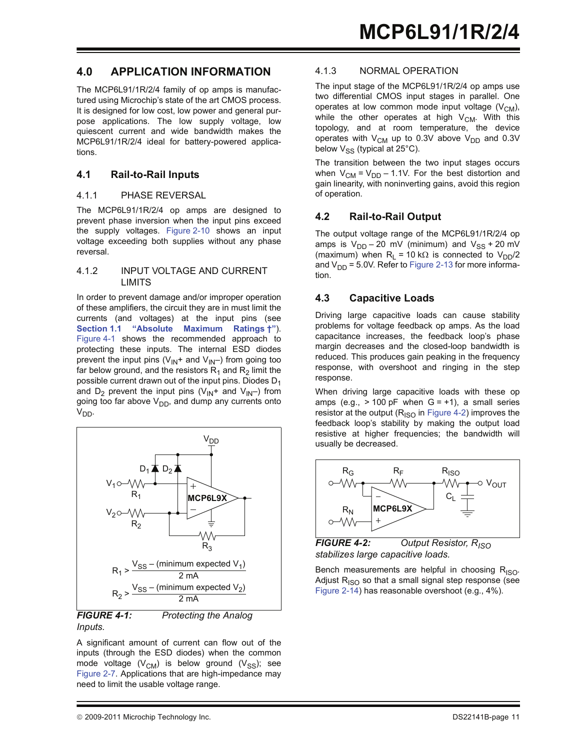#### **4.0 APPLICATION INFORMATION**

The MCP6L91/1R/2/4 family of op amps is manufactured using Microchip's state of the art CMOS process. It is designed for low cost, low power and general purpose applications. The low supply voltage, low quiescent current and wide bandwidth makes the MCP6L91/1R/2/4 ideal for battery-powered applications.

#### **4.1 Rail-to-Rail Inputs**

#### 4.1.1 PHASE REVERSAL

The MCP6L91/1R/2/4 op amps are designed to prevent phase inversion when the input pins exceed the supply voltages. [Figure 2-10](#page-5-0) shows an input voltage exceeding both supplies without any phase reversal.

#### <span id="page-10-0"></span>4.1.2 INPUT VOLTAGE AND CURRENT LIMITS

In order to prevent damage and/or improper operation of these amplifiers, the circuit they are in must limit the currents (and voltages) at the input pins (see **[Section 1.1 "Absolute Maximum Ratings †"](#page-2-1)**). [Figure 4-1](#page-10-1) shows the recommended approach to protecting these inputs. The internal ESD diodes prevent the input pins ( $V_{IN}$ + and  $V_{IN}$ ) from going too far below ground, and the resistors  $R_1$  and  $R_2$  limit the possible current drawn out of the input pins. Diodes  $D_1$ and  $D_2$  prevent the input pins ( $V_{IN}$ + and  $V_{IN}$ ) from going too far above  $V_{DD}$ , and dump any currents onto  $V_{DD}$ .



#### <span id="page-10-1"></span>*FIGURE 4-1: Protecting the Analog Inputs.*

A significant amount of current can flow out of the inputs (through the ESD diodes) when the common mode voltage ( $V_{CM}$ ) is below ground ( $V_{SS}$ ); see [Figure 2-7.](#page-5-1) Applications that are high-impedance may need to limit the usable voltage range.

#### 4.1.3 NORMAL OPERATION

The input stage of the MCP6L91/1R/2/4 op amps use two differential CMOS input stages in parallel. One operates at low common mode input voltage  $(V_{CM})$ , while the other operates at high  $V_{CM}$ . With this topology, and at room temperature, the device operates with  $V_{CM}$  up to 0.3V above  $V_{DD}$  and 0.3V below  $V_{SS}$  (typical at 25°C).

The transition between the two input stages occurs when  $V_{CM} = V_{DD} - 1.1V$ . For the best distortion and gain linearity, with noninverting gains, avoid this region of operation.

#### **4.2 Rail-to-Rail Output**

The output voltage range of the MCP6L91/1R/2/4 op amps is  $V_{DD}$  – 20 mV (minimum) and  $V_{SS}$  + 20 mV (maximum) when  $R_L = 10 k\Omega$  is connected to  $V_{DD}/2$ and  $V_{DD}$  = 5.0V. Refer to [Figure 2-13](#page-6-0) for more information.

#### **4.3 Capacitive Loads**

Driving large capacitive loads can cause stability problems for voltage feedback op amps. As the load capacitance increases, the feedback loop's phase margin decreases and the closed-loop bandwidth is reduced. This produces gain peaking in the frequency response, with overshoot and ringing in the step response.

When driving large capacitive loads with these op amps (e.g.,  $> 100$  pF when  $G = +1$ ), a small series resistor at the output  $(R<sub>ISO</sub>$  in [Figure 4-2](#page-10-2)) improves the feedback loop's stability by making the output load resistive at higher frequencies; the bandwidth will usually be decreased.



<span id="page-10-2"></span>*FIGURE 4-2: Output Resistor, RISO stabilizes large capacitive loads.*

Bench measurements are helpful in choosing  $R_{\text{ISO}}$ . Adjust  $R_{ISO}$  so that a small signal step response (see [Figure 2-14\)](#page-6-1) has reasonable overshoot (e.g., 4%).

<sup>© 2009-2011</sup> Microchip Technology Inc. **DS22141B-page 11** and DS22141B-page 11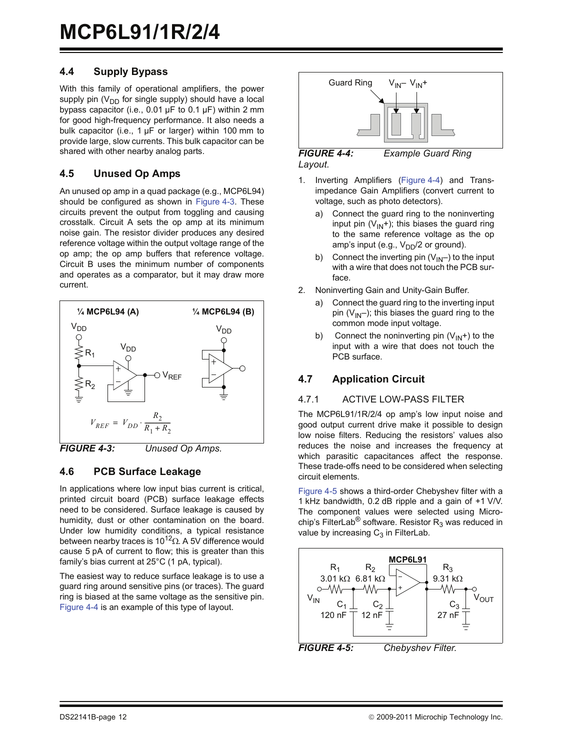#### **4.4 Supply Bypass**

With this family of operational amplifiers, the power supply pin  $(V_{DD}$  for single supply) should have a local bypass capacitor (i.e.,  $0.01 \mu F$  to  $0.1 \mu F$ ) within 2 mm for good high-frequency performance. It also needs a bulk capacitor (i.e.,  $1 \mu F$  or larger) within 100 mm to provide large, slow currents. This bulk capacitor can be shared with other nearby analog parts.

#### **4.5 Unused Op Amps**

An unused op amp in a quad package (e.g., MCP6L94) should be configured as shown in [Figure 4-3.](#page-11-0) These circuits prevent the output from toggling and causing crosstalk. Circuit A sets the op amp at its minimum noise gain. The resistor divider produces any desired reference voltage within the output voltage range of the op amp; the op amp buffers that reference voltage. Circuit B uses the minimum number of components and operates as a comparator, but it may draw more current.



<span id="page-11-0"></span>

#### **4.6 PCB Surface Leakage**

In applications where low input bias current is critical, printed circuit board (PCB) surface leakage effects need to be considered. Surface leakage is caused by humidity, dust or other contamination on the board. Under low humidity conditions, a typical resistance between nearby traces is 10<sup>12</sup> $\Omega$ . A 5V difference would cause 5 pA of current to flow; this is greater than this family's bias current at 25°C (1 pA, typical).

The easiest way to reduce surface leakage is to use a guard ring around sensitive pins (or traces). The guard ring is biased at the same voltage as the sensitive pin. [Figure 4-4](#page-11-1) is an example of this type of layout.



<span id="page-11-1"></span>*FIGURE 4-4: Example Guard Ring Layout.*

- 1. Inverting Amplifiers ([Figure 4-4\)](#page-11-1) and Transimpedance Gain Amplifiers (convert current to voltage, such as photo detectors).
	- a) Connect the guard ring to the noninverting input pin  $(V_{IN}+)$ ; this biases the guard ring to the same reference voltage as the op amp's input (e.g.,  $V_{DD}/2$  or ground).
	- b) Connect the inverting pin  $(V_{IN}-)$  to the input with a wire that does not touch the PCB surface.
- 2. Noninverting Gain and Unity-Gain Buffer.
	- a) Connect the guard ring to the inverting input pin  $(V_{IN}-)$ ; this biases the guard ring to the common mode input voltage.
	- b) Connect the noninverting pin  $(V_{IN}+)$  to the input with a wire that does not touch the PCB surface.

#### **4.7 Application Circuit**

#### 4.7.1 ACTIVE LOW-PASS FILTER

The MCP6L91/1R/2/4 op amp's low input noise and good output current drive make it possible to design low noise filters. Reducing the resistors' values also reduces the noise and increases the frequency at which parasitic capacitances affect the response. These trade-offs need to be considered when selecting circuit elements.

[Figure 4-5](#page-11-2) shows a third-order Chebyshev filter with a 1 kHz bandwidth, 0.2 dB ripple and a gain of +1 V/V. The component values were selected using Microchip's FilterLab<sup>®</sup> software. Resistor  $R_3$  was reduced in value by increasing  $C_3$  in FilterLab.



<span id="page-11-2"></span>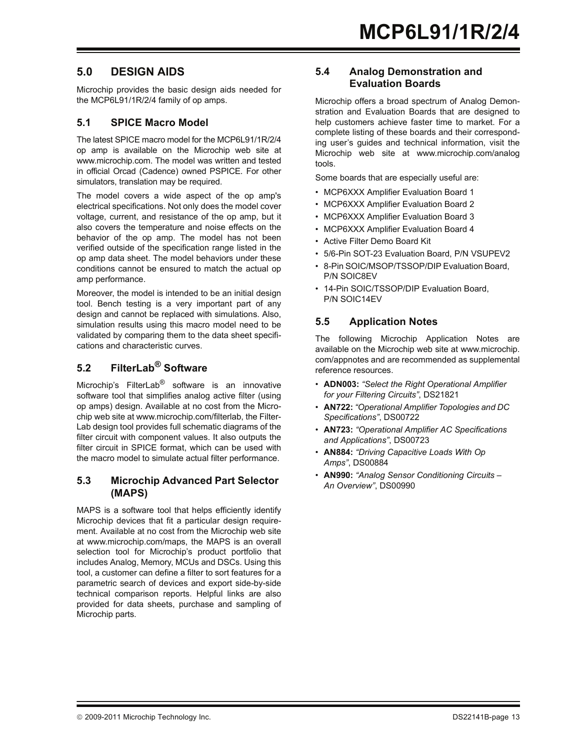### **5.0 DESIGN AIDS**

Microchip provides the basic design aids needed for the MCP6L91/1R/2/4 family of op amps.

#### <span id="page-12-0"></span>**5.1 SPICE Macro Model**

The latest SPICE macro model for the MCP6L91/1R/2/4 op amp is available on the Microchip web site at www.microchip.com. The model was written and tested in official Orcad (Cadence) owned PSPICE. For other simulators, translation may be required.

The model covers a wide aspect of the op amp's electrical specifications. Not only does the model cover voltage, current, and resistance of the op amp, but it also covers the temperature and noise effects on the behavior of the op amp. The model has not been verified outside of the specification range listed in the op amp data sheet. The model behaviors under these conditions cannot be ensured to match the actual op amp performance.

Moreover, the model is intended to be an initial design tool. Bench testing is a very important part of any design and cannot be replaced with simulations. Also, simulation results using this macro model need to be validated by comparing them to the data sheet specifications and characteristic curves.

# **5.2 FilterLab® Software**

Microchip's FilterLab<sup>®</sup> software is an innovative software tool that simplifies analog active filter (using op amps) design. Available at no cost from the Microchip web site at www.microchip.com/filterlab, the Filter-Lab design tool provides full schematic diagrams of the filter circuit with component values. It also outputs the filter circuit in SPICE format, which can be used with the macro model to simulate actual filter performance.

#### **5.3 Microchip Advanced Part Selector (MAPS)**

MAPS is a software tool that helps efficiently identify Microchip devices that fit a particular design requirement. Available at no cost from the Microchip web site at www.microchip.com/maps, the MAPS is an overall selection tool for Microchip's product portfolio that includes Analog, Memory, MCUs and DSCs. Using this tool, a customer can define a filter to sort features for a parametric search of devices and export side-by-side technical comparison reports. Helpful links are also provided for data sheets, purchase and sampling of Microchip parts.

#### **5.4 Analog Demonstration and Evaluation Boards**

Microchip offers a broad spectrum of Analog Demonstration and Evaluation Boards that are designed to help customers achieve faster time to market. For a complete listing of these boards and their corresponding user's guides and technical information, visit the Microchip web site at www.microchip.com/analog tools.

Some boards that are especially useful are:

- MCP6XXX Amplifier Evaluation Board 1
- MCP6XXX Amplifier Evaluation Board 2
- MCP6XXX Amplifier Evaluation Board 3
- MCP6XXX Amplifier Evaluation Board 4
- Active Filter Demo Board Kit
- 5/6-Pin SOT-23 Evaluation Board, P/N VSUPEV2
- 8-Pin SOIC/MSOP/TSSOP/DIP Evaluation Board, P/N SOIC8EV
- 14-Pin SOIC/TSSOP/DIP Evaluation Board, P/N SOIC14EV

#### **5.5 Application Notes**

The following Microchip Application Notes are available on the Microchip web site at www.microchip. com/appnotes and are recommended as supplemental reference resources.

- **ADN003:** *"Select the Right Operational Amplifier for your Filtering Circuits"*, DS21821
- **AN722:** *"Operational Amplifier Topologies and DC Specifications"*, DS00722
- **AN723:** *"Operational Amplifier AC Specifications and Applications"*, DS00723
- **AN884:** *"Driving Capacitive Loads With Op Amps"*, DS00884
- **AN990:** *"Analog Sensor Conditioning Circuits An Overview"*, DS00990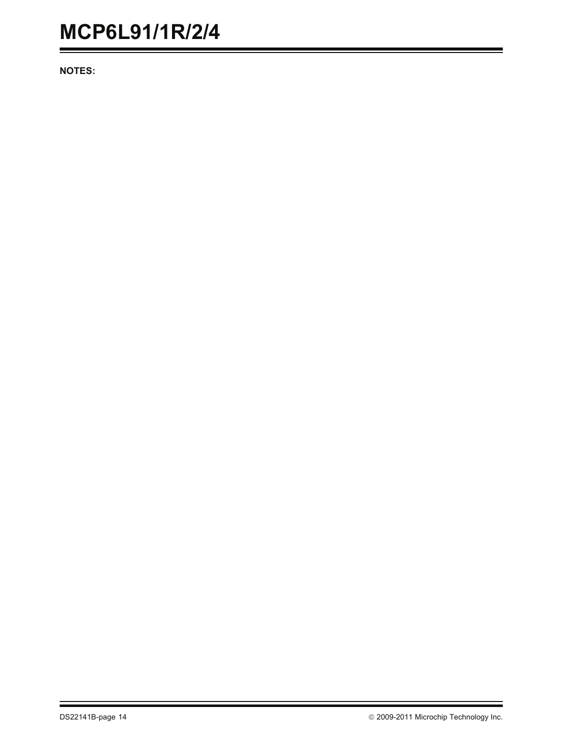**NOTES:**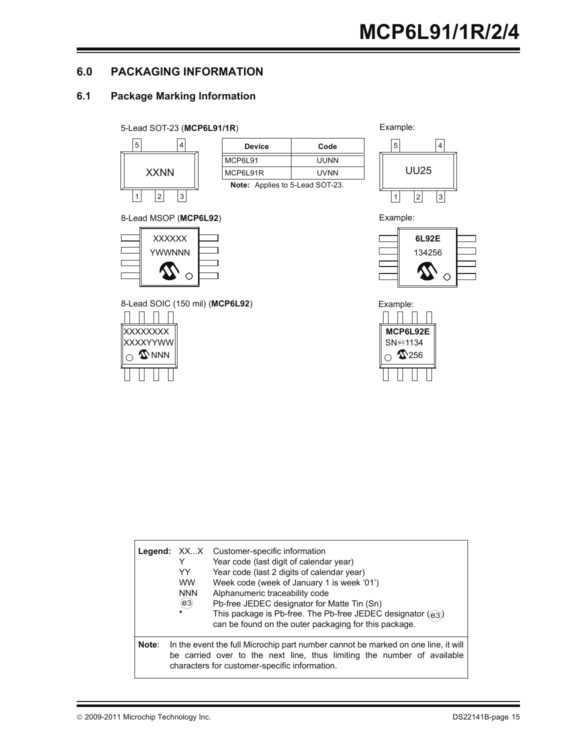### **6.0 PACKAGING INFORMATION**

# **6.1 Package Marking Information**

#### 5-Lead SOT-23 (**MCP6L91/1R**) Example:



| <b>Device</b>                          | Code |  |  |  |
|----------------------------------------|------|--|--|--|
| MCP6L91                                | UUNN |  |  |  |
| MCP6L91R                               | UVNN |  |  |  |
| <b>Note:</b> Applies to 5-Lead SOT-23. |      |  |  |  |

**Note:** Applies to 5-Lead SOT-23.



Example:





| 8-Lead MSOP (MCP6L92) |  |  |
|-----------------------|--|--|
|                       |  |  |



8-Lead SOIC (150 mil) (MCP6L92) Example:



|       | YY<br><b>WW</b><br><b>NNN</b><br>(e3)<br>$\star$ | <b>Legend:</b> XXX Customer-specific information<br>Year code (last digit of calendar year)<br>Year code (last 2 digits of calendar year)<br>Week code (week of January 1 is week '01')<br>Alphanumeric traceability code<br>Pb-free JEDEC designator for Matte Tin (Sn)<br>This package is Pb-free. The Pb-free JEDEC designator ((e3))<br>can be found on the outer packaging for this package. |
|-------|--------------------------------------------------|---------------------------------------------------------------------------------------------------------------------------------------------------------------------------------------------------------------------------------------------------------------------------------------------------------------------------------------------------------------------------------------------------|
| Note: |                                                  | In the event the full Microchip part number cannot be marked on one line, it will<br>be carried over to the next line, thus limiting the number of available<br>characters for customer-specific information.                                                                                                                                                                                     |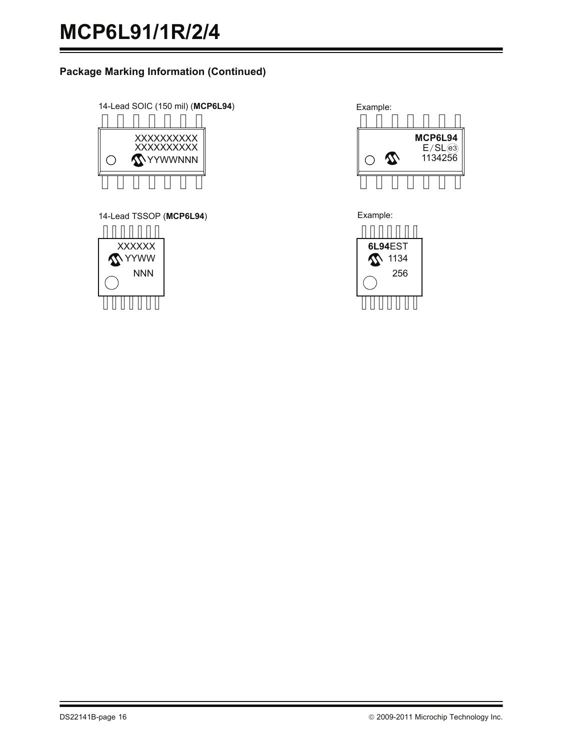### **Package Marking Information (Continued)**



14-Lead TSSOP (MCP6L94) **Example:**  $\begin{array}{c} \Pi \Pi \Pi \Pi \Pi \Pi \Pi \end{array}$ **XXXXXX MYYWW** NNN U U U U U U U



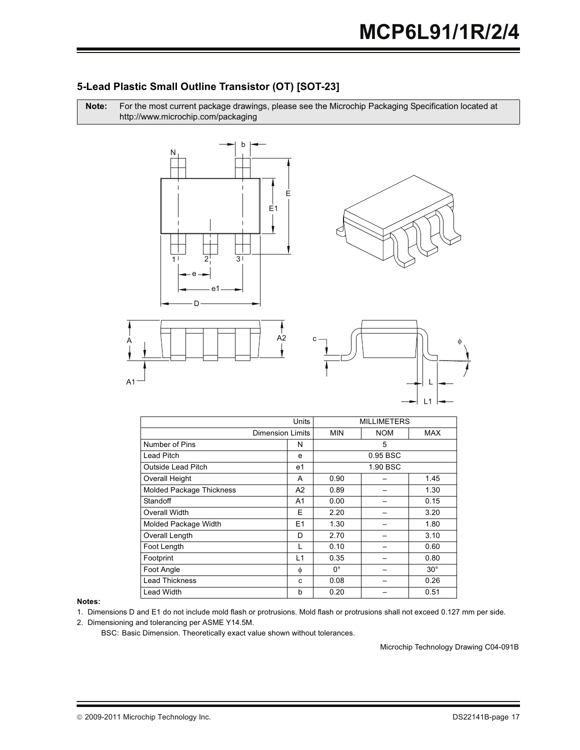#### 5-Lead Plastic Small Outline Transistor (OT) ISOT-231

Note: For the most current package drawings, please see the Microchip Packaging Specification located at http://www.microchip.com/packaging









|                                 | <b>Units</b>            | <b>MILLIMETERS</b> |            |              |
|---------------------------------|-------------------------|--------------------|------------|--------------|
|                                 | <b>Dimension Limits</b> | <b>MIN</b>         | <b>NOM</b> | <b>MAX</b>   |
| Number of Pins                  | N                       |                    | 5          |              |
| Lead Pitch                      | e                       |                    | 0.95 BSC   |              |
| <b>Outside Lead Pitch</b>       | e1                      |                    | 1.90 BSC   |              |
| Overall Height                  | A                       | 0.90               |            | 1.45         |
| <b>Molded Package Thickness</b> | A <sub>2</sub>          | 0.89               |            | 1.30         |
| Standoff                        | A <sub>1</sub>          | 0.00               |            | 0.15         |
| Overall Width                   | E                       | 2.20               |            | 3.20         |
| Molded Package Width            | E <sub>1</sub>          | 1.30               |            | 1.80         |
| Overall Length                  | D                       | 2.70               |            | 3.10         |
| Foot Length                     | L                       | 0.10               |            | 0.60         |
| Footprint                       | L1                      | 0.35               |            | 0.80         |
| Foot Angle                      | φ                       | $0^{\circ}$        |            | $30^{\circ}$ |
| <b>Lead Thickness</b>           | C                       | 0.08               |            | 0.26         |
| Lead Width                      | b                       | 0.20               |            | 0.51         |

#### Notes:

1. Dimensions D and E1 do not include mold flash or protrusions. Mold flash or protrusions shall not exceed 0.127 mm per side.

2. Dimensioning and tolerancing per ASME Y14.5M.

BSC: Basic Dimension. Theoretically exact value shown without tolerances.

Microchip Technology Drawing C04-091B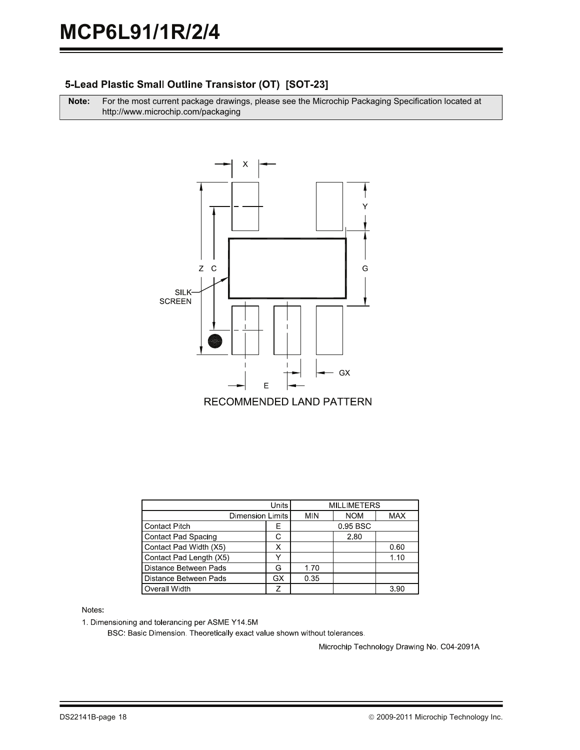### 5-Lead Plastic Small Outline Transistor (OT) [SOT-23]

**Note:** For the most current package drawings, please see the Microchip Packaging Specification located at http://www.microchip.com/packaging



|                              | <b>MILLIMETERS</b> |            |            |      |  |
|------------------------------|--------------------|------------|------------|------|--|
| <b>Dimension Limits</b>      | <b>MIN</b>         | <b>NOM</b> | <b>MAX</b> |      |  |
| <b>Contact Pitch</b>         | E                  |            | 0.95 BSC   |      |  |
| <b>Contact Pad Spacing</b>   | С                  |            | 2.80       |      |  |
| Contact Pad Width (X5)       |                    |            |            | 0.60 |  |
| Contact Pad Length (X5)      |                    |            |            | 1.10 |  |
| <b>Distance Between Pads</b> | G                  | 1.70       |            |      |  |
| Distance Between Pads        | GX                 | 0.35       |            |      |  |
| Overall Width                |                    |            |            | 3.90 |  |

Notes:

1. Dimensioning and tolerancing per ASME Y14.5M

BSC: Basic Dimension. Theoretically exact value shown without tolerances.

Microchip Technology Drawing No. C04-2091A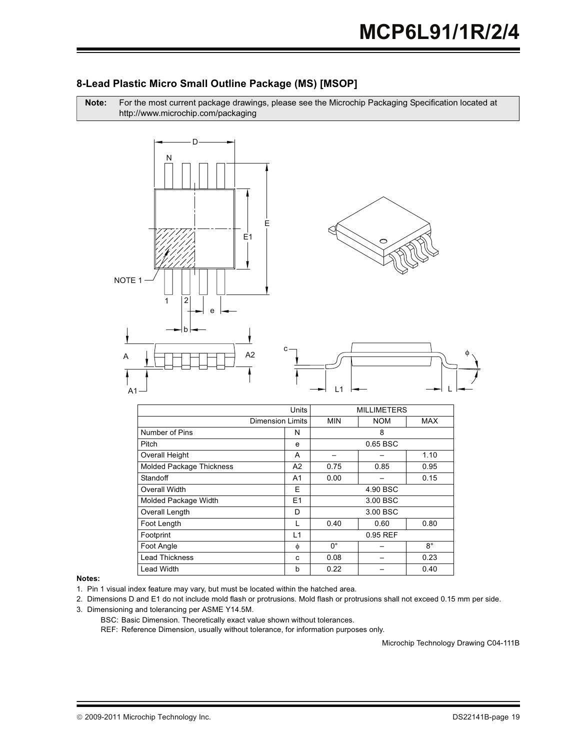### **8-Lead Plastic Micro Small Outline Package (MS) [MSOP]**

Note: For the most current package drawings, please see the Microchip Packaging Specification located at http://www.microchip.com/packaging



| Units                           |                  | <b>MILLIMETERS</b> |            |             |
|---------------------------------|------------------|--------------------|------------|-------------|
|                                 | Dimension Limits |                    | <b>NOM</b> | <b>MAX</b>  |
| Number of Pins                  | N                | 8                  |            |             |
| Pitch                           | e                |                    | 0.65 BSC   |             |
| Overall Height                  | A                |                    |            | 1.10        |
| <b>Molded Package Thickness</b> | A <sub>2</sub>   | 0.75               | 0.85       | 0.95        |
| Standoff                        | A <sub>1</sub>   | 0.00               |            | 0.15        |
| Overall Width<br>E              |                  | 4.90 BSC           |            |             |
| Molded Package Width            | E1               | 3.00 BSC           |            |             |
| Overall Length                  | D                | 3.00 BSC           |            |             |
| Foot Length<br>L                |                  | 0.40               | 0.60       | 0.80        |
| L1<br>Footprint                 |                  |                    | 0.95 REF   |             |
| Foot Angle                      | Φ                | $0^{\circ}$        |            | $8^{\circ}$ |
| <b>Lead Thickness</b>           | C                | 0.08               |            | 0.23        |
| <b>Lead Width</b>               | b                | 0.22               |            | 0.40        |

#### Notes:

- 1. Pin 1 visual index feature may vary, but must be located within the hatched area.
- 2. Dimensions D and E1 do not include mold flash or protrusions. Mold flash or protrusions shall not exceed 0.15 mm per side.
- 3. Dimensioning and tolerancing per ASME Y14.5M.
	- BSC: Basic Dimension. Theoretically exact value shown without tolerances.

REF: Reference Dimension, usually without tolerance, for information purposes only.

Microchip Technology Drawing C04-111B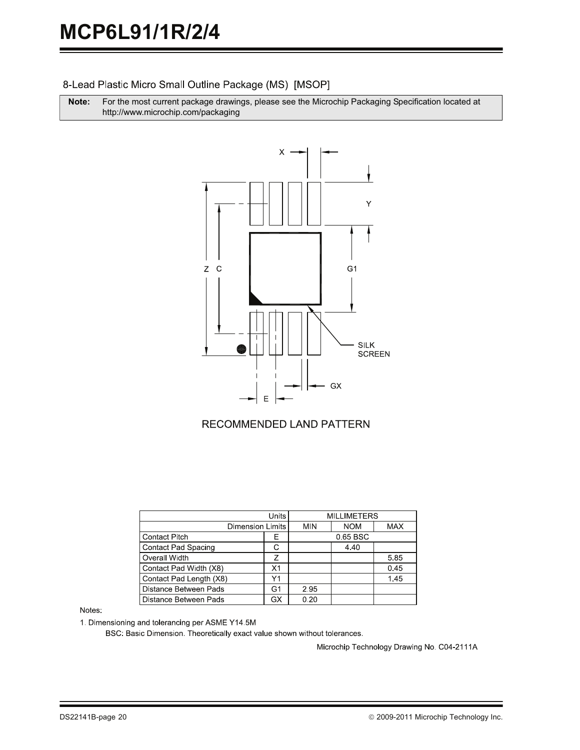8-Lead Plastic Micro Small Outline Package (MS) [MSOP]

**Note:** For the most current package drawings, please see the Microchip Packaging Specification located at http://www.microchip.com/packaging



#### **RECOMMENDED LAND PATTERN**

| Units                      |    |            | <b>MILLIMETERS</b> |            |
|----------------------------|----|------------|--------------------|------------|
| <b>Dimension Limits</b>    |    | <b>MIN</b> | <b>NOM</b>         | <b>MAX</b> |
| <b>Contact Pitch</b>       | F  |            | 0.65 BSC           |            |
| <b>Contact Pad Spacing</b> |    |            | 4.40               |            |
| Overall Width              | 7  |            |                    | 5.85       |
| Contact Pad Width (X8)     | Χ1 |            |                    | 0.45       |
| Contact Pad Length (X8)    | Υ1 |            |                    | 1.45       |
| Distance Between Pads      | G1 | 2.95       |                    |            |
| Distance Between Pads      | GX | 0.20       |                    |            |

Notes:

1. Dimensioning and tolerancing per ASME Y14.5M

BSC: Basic Dimension. Theoretically exact value shown without tolerances.

Microchip Technology Drawing No. C04-2111A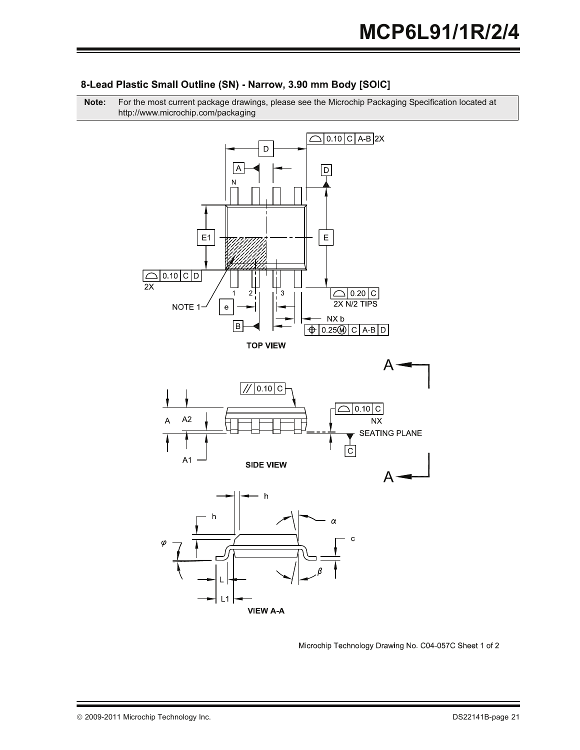

#### 8-Lead Plastic Small Outline (SN) - Narrow, 3.90 mm Body [SOIC]

**Note:** For the most current package drawings, please see the Microchip Packaging Specification located at http://www.microchip.com/packaging

Microchip Technology Drawing No. C04-057C Sheet 1 of 2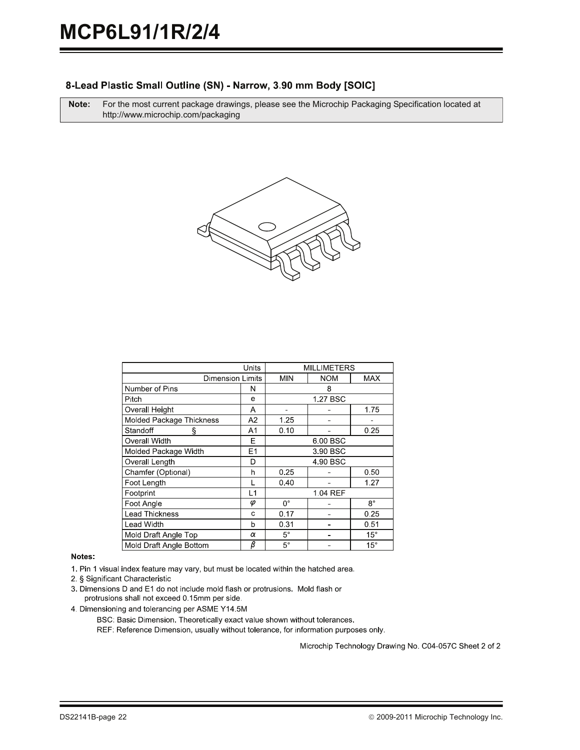#### 8-Lead Plastic Small Outline (SN) - Narrow, 3.90 mm Body [SOIC]

**Note:** For the most current package drawings, please see the Microchip Packaging Specification located at http://www.microchip.com/packaging



| Units                    |                    |              | <b>MILLIMETERS</b> |             |  |
|--------------------------|--------------------|--------------|--------------------|-------------|--|
| <b>Dimension Limits</b>  |                    | <b>MIN</b>   | <b>NOM</b>         | MAX         |  |
| Number of Pins           | N                  |              | 8                  |             |  |
| Pitch                    | e                  |              | 1.27 BSC           |             |  |
| Overall Height           | Α                  |              |                    | 1.75        |  |
| Molded Package Thickness | A2                 | 1.25         |                    |             |  |
| Standoff<br>ş            | A1                 | 0.10         |                    | 0.25        |  |
| Overall Width            | F                  | 6.00 BSC     |                    |             |  |
| Molded Package Width     | E1                 | 3 90 BSC     |                    |             |  |
| Overall Length           | D                  | 4 90 BSC     |                    |             |  |
| Chamfer (Optional)       | h                  | 0.25<br>0.50 |                    |             |  |
| Foot Length              |                    | 0.40         |                    | 1.27        |  |
| Footprint                | L1                 | 1 04 REF     |                    |             |  |
| Foot Angle               | φ                  | $0^{\circ}$  |                    | $8^{\circ}$ |  |
| <b>Lead Thickness</b>    | С                  | 0.17         |                    | 0.25        |  |
| <b>Lead Width</b>        | h                  | 0.31         |                    | 0.51        |  |
| Mold Draft Angle Top     | α                  | $5^{\circ}$  |                    | $15^\circ$  |  |
| Mold Draft Angle Bottom  | $\overline{\beta}$ | $5^{\circ}$  |                    | $15^\circ$  |  |

#### Notes:

1. Pin 1 visual index feature may vary, but must be located within the hatched area.

2. § Significant Characteristic

- 3. Dimensions D and E1 do not include mold flash or protrusions. Mold flash or protrusions shall not exceed 0.15mm per side.
- 4. Dimensioning and tolerancing per ASME Y14.5M

BSC: Basic Dimension. Theoretically exact value shown without tolerances.

REF: Reference Dimension, usually without tolerance, for information purposes only.

Microchip Technology Drawing No. C04-057C Sheet 2 of 2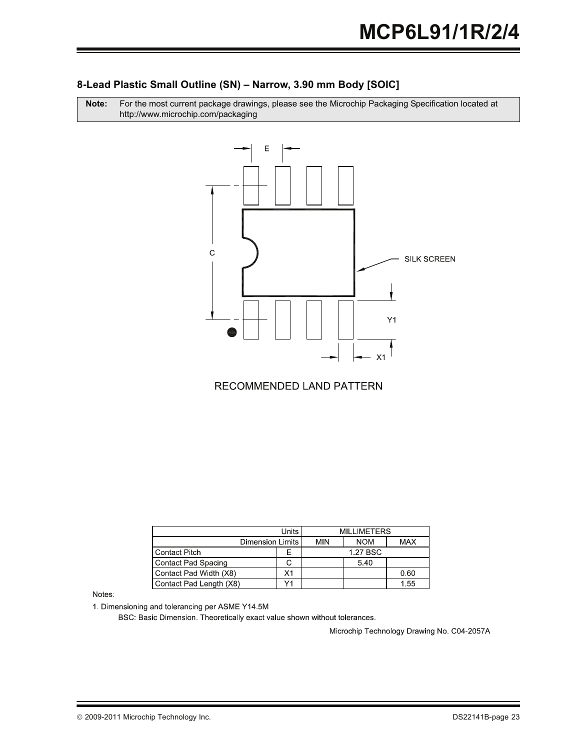#### **8-Lead Plastic Small Outline (SN) – Narrow, 3.90 mm Body [SOIC]**

Note: For the most current package drawings, please see the Microchip Packaging Specification located at http://www.microchip.com/packaging



### RECOMMENDED LAND PATTERN

| Units                   |    | <b>MILLIMETERS</b> |            |            |
|-------------------------|----|--------------------|------------|------------|
| Dimension Limits        |    | <b>MIN</b>         | <b>NOM</b> | <b>MAX</b> |
| Contact Pitch           |    |                    | 1.27 BSC   |            |
| Contact Pad Spacing     |    |                    | 5.40       |            |
| Contact Pad Width (X8)  | Х1 |                    |            | 0.60       |
| Contact Pad Length (X8) |    |                    |            | 1.55       |

Notes:

1. Dimensioning and tolerancing per ASME Y14.5M

BSC: Basic Dimension. Theoretically exact value shown without tolerances.

Microchip Technology Drawing No. C04-2057A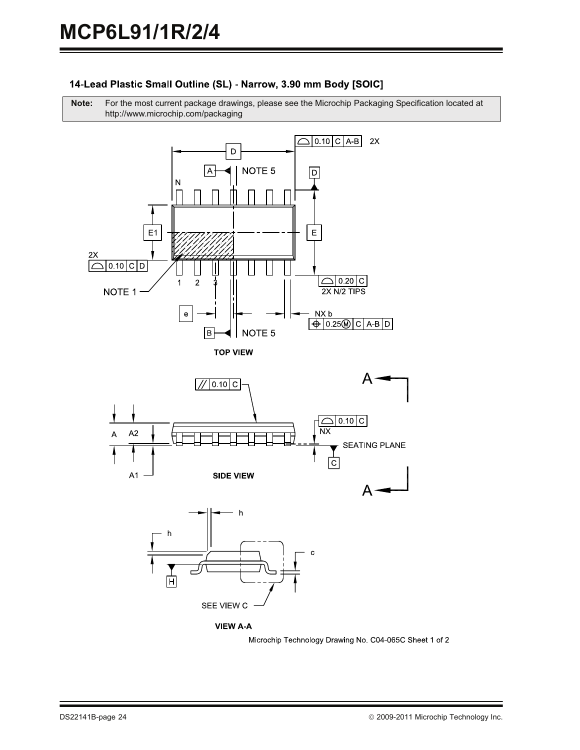# 14-Lead Plastic Small Outline (SL) - Narrow, 3.90 mm Body [SOIC]

**Note:** For the most current package drawings, please see the Microchip Packaging Specification located at http://www.microchip.com/packaging











Microchip Technology Drawing No. C04-065C Sheet 1 of 2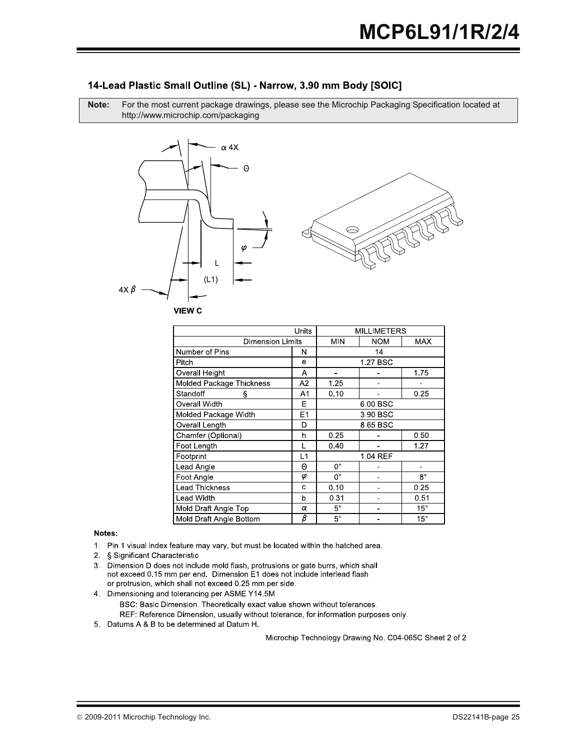#### 14-Lead Plastic Small Outline (SL) - Narrow, 3.90 mm Body [SOIC]

**Note:** For the most current package drawings, please see the Microchip Packaging Specification located at http://www.microchip.com/packaging





| Units                                  |             | <b>MILLIMETERS</b> |            |              |
|----------------------------------------|-------------|--------------------|------------|--------------|
| <b>Dimension Limits</b>                |             | <b>MIN</b>         | <b>NOM</b> | <b>MAX</b>   |
| Number of Pins                         | Ν           |                    | 14         |              |
| Pitch                                  | e           |                    | 1.27 BSC   |              |
| Overall Height                         | Α           |                    |            | 1.75         |
| Molded Package Thickness               | A2          | 1.25               |            |              |
| Standoff<br>ş                          | A1          | 0.10               |            | 0.25         |
| Overall Width                          | Е           |                    | 6.00 BSC   |              |
| Molded Package Width<br>E <sub>1</sub> |             | 3.90 BSC           |            |              |
| Overall Length                         | D           | 8.65 BSC           |            |              |
| Chamfer (Optional)                     | h           | 0.25               |            | 0.50         |
| Foot Lenath                            |             | 0.40               |            | 1.27         |
| Footprint                              | L1          | 1.04 REF           |            |              |
| Lead Angle                             | Θ           | 0°                 |            |              |
| Foot Angle                             | φ           | 0°                 |            | $8^{\circ}$  |
| <b>Lead Thickness</b>                  | c           | 0.10               |            | 0.25         |
| Lead Width                             | $\mathbf b$ | 0.31               |            | 0.51         |
| Mold Draft Angle Top                   | α           | $5^{\circ}$        |            | $15^{\circ}$ |
| Mold Draft Angle Bottom                | β           | $5^{\circ}$        |            | $15^{\circ}$ |
|                                        |             |                    |            |              |

Notes:

- 1. Pin 1 visual index feature may vary, but must be located within the hatched area.
- 2 § Significant Characteristic
- 3. Dimension D does not include mold flash, protrusions or gate burrs, which shall not exceed 0.15 mm per end. Dimension E1 does not include interlead flash or protrusion, which shall not exceed 0.25 mm per side.
- 4. Dimensioning and tolerancing per ASME Y14.5M
	- BSC: Basic Dimension. Theoretically exact value shown without tolerances. REF: Reference Dimension, usually without tolerance, for information purposes only.
- 5 Datums A & B to be determined at Datum H.

Microchip Technology Drawing No. C04-065C Sheet 2 of 2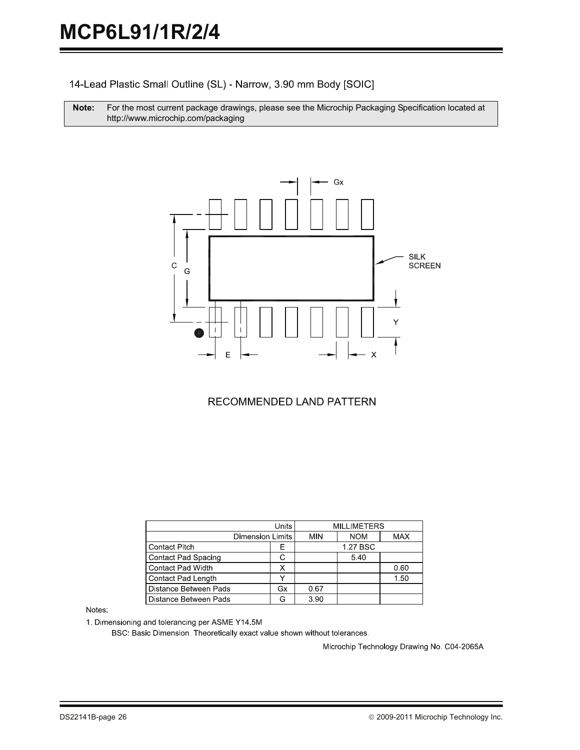14-Lead Plastic Small Outline (SL) - Narrow, 3.90 mm Body [SOIC]

Note: For the most current package drawings, please see the Microchip Packaging Specification located at http://www.microchip.com/packaging



### RECOMMENDED LAND PATTERN

| <b>Units</b>               |    |            | <b>MILLIMETERS</b> |            |
|----------------------------|----|------------|--------------------|------------|
| <b>Dimension Limits</b>    |    | <b>MIN</b> | <b>NOM</b>         | <b>MAX</b> |
| <b>Contact Pitch</b>       | Ε  |            | 1.27 BSC           |            |
| <b>Contact Pad Spacing</b> |    |            | 5.40               |            |
| Contact Pad Width          |    |            |                    | 0.60       |
| Contact Pad Length         |    |            |                    | 1.50       |
| Distance Between Pads      | Gx | 0.67       |                    |            |
| Distance Between Pads      | G  | 3.90       |                    |            |

Notes:

1. Dimensioning and tolerancing per ASME Y14.5M

BSC: Basic Dimension. Theoretically exact value shown without tolerances.

Microchip Technology Drawing No. C04-2065A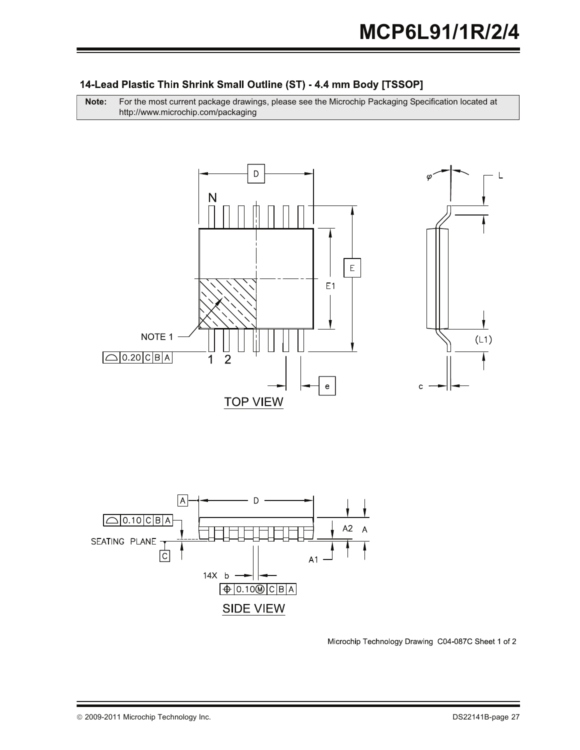# 14-Lead Plastic Thin Shrink Small Outline (ST) - 4.4 mm Body [TSSOP]

**Note:** For the most current package drawings, please see the Microchip Packaging Specification located at http://www.microchip.com/packaging





Microchip Technology Drawing C04-087C Sheet 1 of 2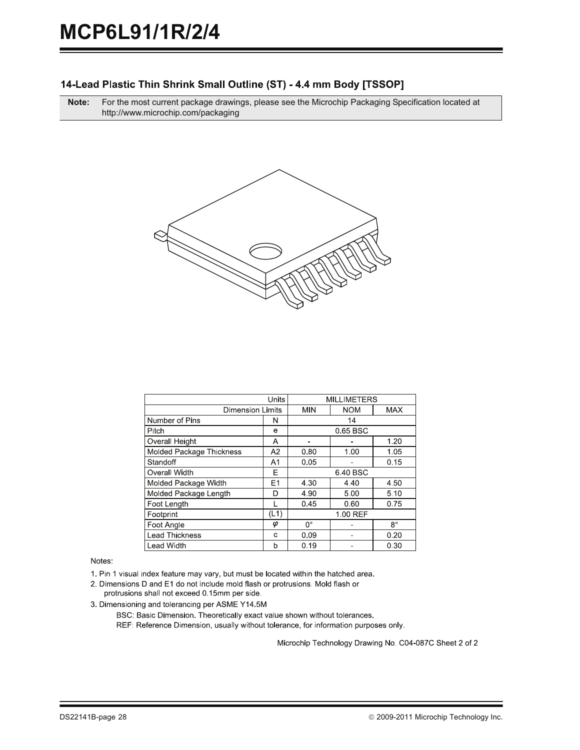#### 14-Lead Plastic Thin Shrink Small Outline (ST) - 4.4 mm Body [TSSOP]

**Note:** For the most current package drawings, please see the Microchip Packaging Specification located at http://www.microchip.com/packaging



| Units                    |                | <b>MILLIMETERS</b> |            |             |
|--------------------------|----------------|--------------------|------------|-------------|
| <b>Dimension Limits</b>  |                | <b>MIN</b>         | <b>NOM</b> | <b>MAX</b>  |
| Number of Pins           | N              | 14                 |            |             |
| Pitch                    | е              | 0.65 BSC           |            |             |
| Overall Height           | А              |                    |            | 1.20        |
| Molded Package Thickness | A <sub>2</sub> | 0.80               | 1.00       | 1.05        |
| Standoff                 | A1             | 0.05               |            | 0.15        |
| Overall Width            | Е              | 6.40 BSC           |            |             |
| Molded Package Width     | E <sub>1</sub> | 4.30<br>4.40       |            | 4.50        |
| Molded Package Length    | D              | 4.90<br>5.00       |            | 5.10        |
| Foot Length              |                | 0.45               | 0.60       | 0.75        |
| Footprint                | (L1)           | 1.00 REF           |            |             |
| Foot Angle               | φ              | 0°                 |            | $8^{\circ}$ |
| <b>Lead Thickness</b>    | с              | 0.09               |            | 0.20        |
| <b>Lead Width</b>        | b              | 0.19               |            | 0.30        |

Notes:

1. Pin 1 visual index feature may vary, but must be located within the hatched area.

2. Dimensions D and E1 do not include mold flash or protrusions. Mold flash or protrusions shall not exceed 0.15mm per side.

3. Dimensioning and tolerancing per ASME Y14 5M

BSC: Basic Dimension. Theoretically exact value shown without tolerances. REF: Reference Dimension, usually without tolerance, for information purposes only.

Microchip Technology Drawing No. C04-087C Sheet 2 of 2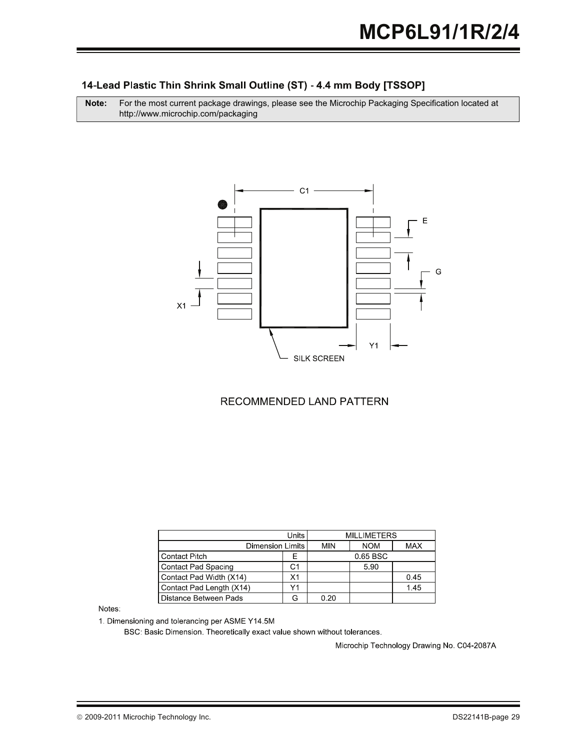## 14-Lead Plastic Thin Shrink Small Outline (ST) - 4.4 mm Body [TSSOP]

**Note:** For the most current package drawings, please see the Microchip Packaging Specification located at http://www.microchip.com/packaging



### RECOMMENDED LAND PATTERN

| Units                         |    | <b>MILLIMETERS</b> |            |            |
|-------------------------------|----|--------------------|------------|------------|
| <b>Dimension Limits</b>       |    | MIN                | <b>NOM</b> | <b>MAX</b> |
| <b>Contact Pitch</b>          | Е  |                    | 0.65 BSC   |            |
| <b>Contact Pad Spacing</b>    | С1 |                    | 5.90       |            |
| Contact Pad Width (X14)<br>X1 |    |                    |            | 0.45       |
| Contact Pad Length (X14)      | ٧1 |                    |            | 145        |
| Distance Between Pads         |    | 0.20               |            |            |

Notes:

1. Dimensioning and tolerancing per ASME Y14.5M

BSC: Basic Dimension. Theoretically exact value shown without tolerances.

Microchip Technology Drawing No. C04-2087A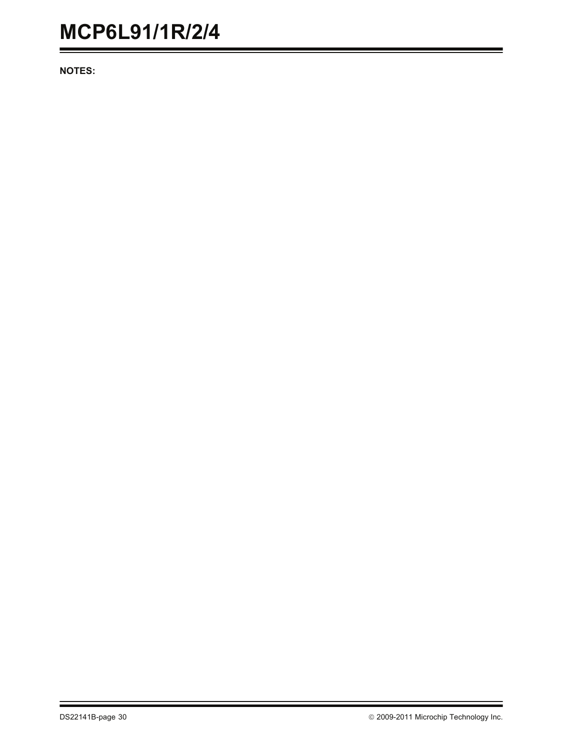**NOTES:**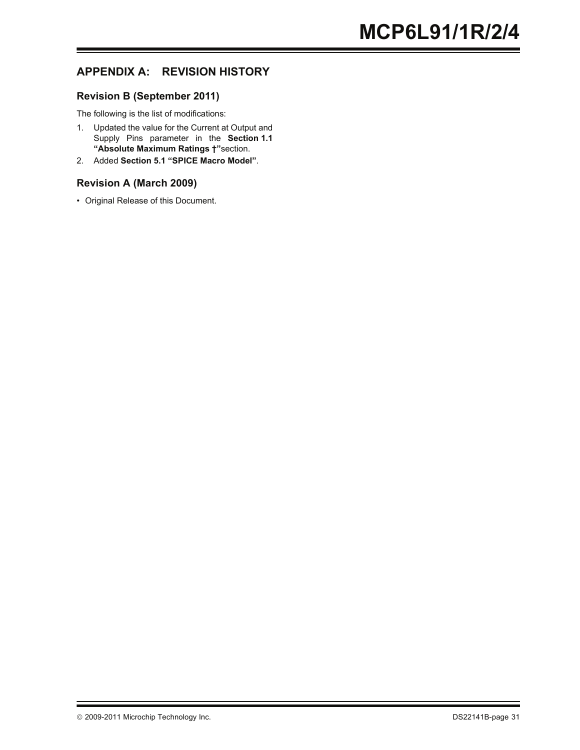# **APPENDIX A: REVISION HISTORY**

#### **Revision B (September 2011)**

The following is the list of modifications:

- 1. Updated the value for the Current at Output and Supply Pins parameter in the **[Section 1.1](#page-2-2) ["Absolute Maximum Ratings †"](#page-2-2)**section.
- 2. Added **[Section 5.1 "SPICE Macro Model"](#page-12-0)**.

#### **Revision A (March 2009)**

• Original Release of this Document.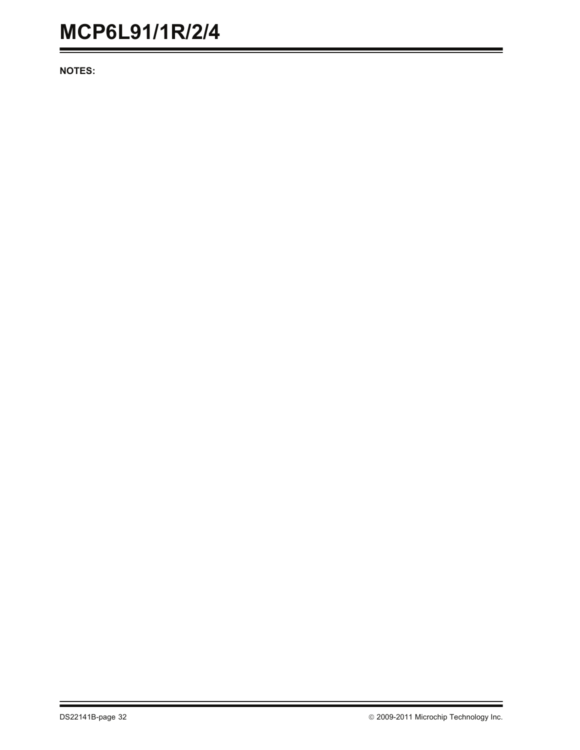**NOTES:**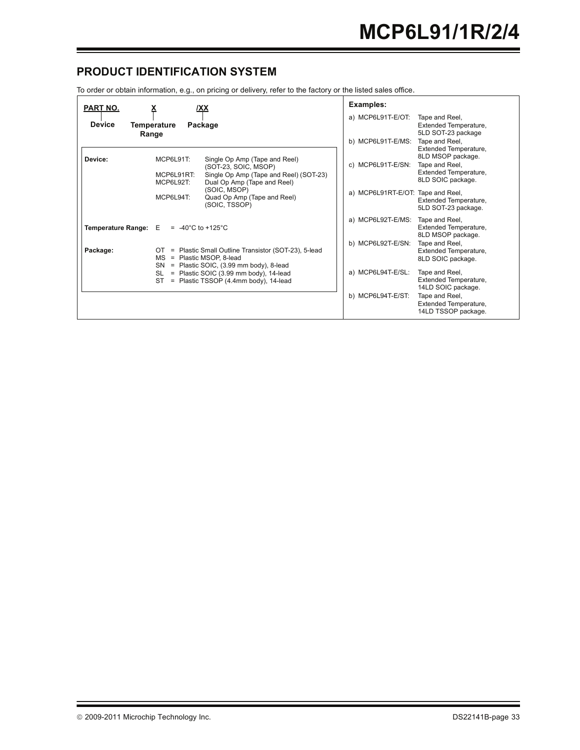### **PRODUCT IDENTIFICATION SYSTEM**

To order or obtain information, e.g., on pricing or delivery, refer to the factory or the listed sales office.

| PART NO.<br><b>Device</b><br>Range | <b>XX</b><br>х<br><b>Temperature</b><br>Package                                                                                                                        | Examples:<br>a) MCP6L91T-E/OT:<br>Tape and Reel,<br>Extended Temperature,<br>5LD SOT-23 package                                                                        |
|------------------------------------|------------------------------------------------------------------------------------------------------------------------------------------------------------------------|------------------------------------------------------------------------------------------------------------------------------------------------------------------------|
| Device:                            | MCP6L91T:<br>Single Op Amp (Tape and Reel)<br>(SOT-23, SOIC, MSOP)<br>Single Op Amp (Tape and Reel) (SOT-23)<br>MCP6L91RT:<br>MCP6L92T:<br>Dual Op Amp (Tape and Reel) | b) MCP6L91T-E/MS:<br>Tape and Reel,<br>Extended Temperature,<br>8LD MSOP package.<br>c) MCP6L91T-E/SN:<br>Tape and Reel,<br>Extended Temperature,<br>8LD SOIC package. |
|                                    | (SOIC, MSOP)<br>MCP6L94T:<br>Quad Op Amp (Tape and Reel)<br>(SOIC, TSSOP)                                                                                              | a) MCP6L91RT-E/OT: Tape and Reel,<br>Extended Temperature,<br>5LD SOT-23 package.                                                                                      |
| Temperature Range: E               | $= -40^{\circ}$ C to +125°C                                                                                                                                            | a) MCP6L92T-E/MS:<br>Tape and Reel,<br>Extended Temperature,<br>8LD MSOP package.                                                                                      |
| Package:                           | OT = Plastic Small Outline Transistor (SOT-23), 5-lead<br>MS<br>= Plastic MSOP, 8-lead<br>= Plastic SOIC, (3.99 mm body), 8-lead<br>SN                                 | b) MCP6L92T-E/SN:<br>Tape and Reel,<br>Extended Temperature,<br>8LD SOIC package.                                                                                      |
|                                    | = Plastic SOIC (3.99 mm body), 14-lead<br>SL<br>= Plastic TSSOP (4.4mm body), 14-lead<br>ST.                                                                           | a) MCP6L94T-E/SL:<br>Tape and Reel,<br>Extended Temperature,<br>14LD SOIC package.                                                                                     |
|                                    |                                                                                                                                                                        | b) MCP6L94T-E/ST:<br>Tape and Reel,<br>Extended Temperature,<br>14LD TSSOP package.                                                                                    |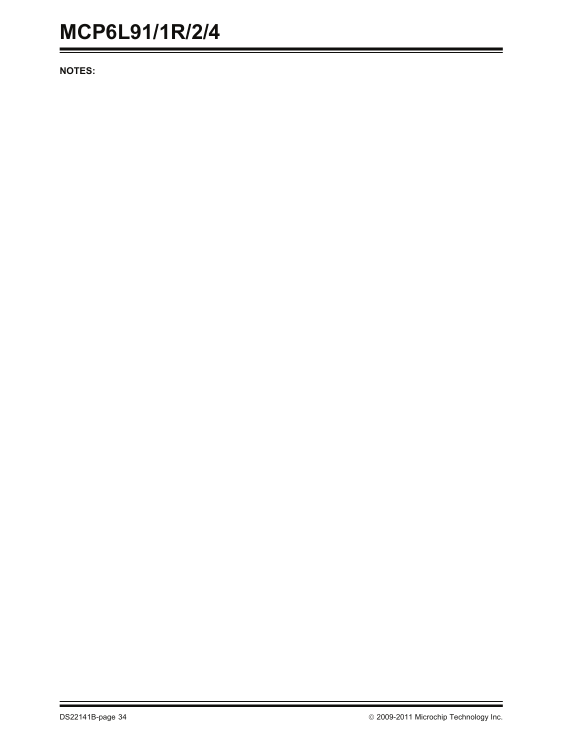**NOTES:**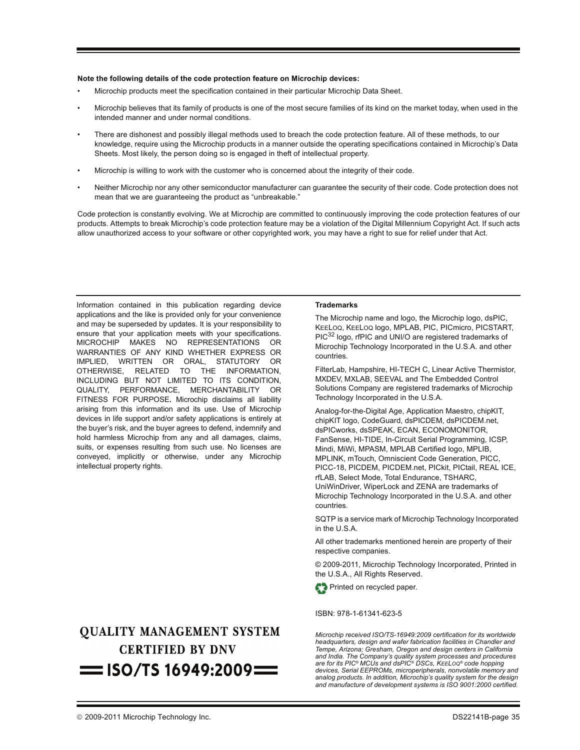#### **Note the following details of the code protection feature on Microchip devices:**

- Microchip products meet the specification contained in their particular Microchip Data Sheet.
- Microchip believes that its family of products is one of the most secure families of its kind on the market today, when used in the intended manner and under normal conditions.
- There are dishonest and possibly illegal methods used to breach the code protection feature. All of these methods, to our knowledge, require using the Microchip products in a manner outside the operating specifications contained in Microchip's Data Sheets. Most likely, the person doing so is engaged in theft of intellectual property.
- Microchip is willing to work with the customer who is concerned about the integrity of their code.
- Neither Microchip nor any other semiconductor manufacturer can guarantee the security of their code. Code protection does not mean that we are guaranteeing the product as "unbreakable."

Code protection is constantly evolving. We at Microchip are committed to continuously improving the code protection features of our products. Attempts to break Microchip's code protection feature may be a violation of the Digital Millennium Copyright Act. If such acts allow unauthorized access to your software or other copyrighted work, you may have a right to sue for relief under that Act.

Information contained in this publication regarding device applications and the like is provided only for your convenience and may be superseded by updates. It is your responsibility to ensure that your application meets with your specifications. MICROCHIP MAKES NO REPRESENTATIONS OR WARRANTIES OF ANY KIND WHETHER EXPRESS OR IMPLIED, WRITTEN OR ORAL, STATUTORY OR OTHERWISE, RELATED TO THE INFORMATION, INCLUDING BUT NOT LIMITED TO ITS CONDITION, QUALITY, PERFORMANCE, MERCHANTABILITY OR FITNESS FOR PURPOSE**.** Microchip disclaims all liability arising from this information and its use. Use of Microchip devices in life support and/or safety applications is entirely at the buyer's risk, and the buyer agrees to defend, indemnify and hold harmless Microchip from any and all damages, claims, suits, or expenses resulting from such use. No licenses are conveyed, implicitly or otherwise, under any Microchip intellectual property rights.

# **OUALITY MANAGEMENT SYSTEM CERTIFIED BY DNV**  $=$  ISO/TS 16949:2009 $=$

#### **Trademarks**

The Microchip name and logo, the Microchip logo, dsPIC, KEELOQ, KEELOQ logo, MPLAB, PIC, PICmicro, PICSTART, PIC<sup>32</sup> logo, rfPIC and UNI/O are registered trademarks of Microchip Technology Incorporated in the U.S.A. and other countries.

FilterLab, Hampshire, HI-TECH C, Linear Active Thermistor, MXDEV, MXLAB, SEEVAL and The Embedded Control Solutions Company are registered trademarks of Microchip Technology Incorporated in the U.S.A.

Analog-for-the-Digital Age, Application Maestro, chipKIT, chipKIT logo, CodeGuard, dsPICDEM, dsPICDEM.net, dsPICworks, dsSPEAK, ECAN, ECONOMONITOR, FanSense, HI-TIDE, In-Circuit Serial Programming, ICSP, Mindi, MiWi, MPASM, MPLAB Certified logo, MPLIB, MPLINK, mTouch, Omniscient Code Generation, PICC, PICC-18, PICDEM, PICDEM.net, PICkit, PICtail, REAL ICE, rfLAB, Select Mode, Total Endurance, TSHARC, UniWinDriver, WiperLock and ZENA are trademarks of Microchip Technology Incorporated in the U.S.A. and other countries.

SQTP is a service mark of Microchip Technology Incorporated in the U.S.A.

All other trademarks mentioned herein are property of their respective companies.

© 2009-2011, Microchip Technology Incorporated, Printed in the U.S.A., All Rights Reserved.



#### ISBN: 978-1-61341-623-5

*Microchip received ISO/TS-16949:2009 certification for its worldwide headquarters, design and wafer fabrication facilities in Chandler and Tempe, Arizona; Gresham, Oregon and design centers in California and India. The Company's quality system processes and procedures are for its PIC® MCUs and dsPIC® DSCs, KEELOQ® code hopping devices, Serial EEPROMs, microperipherals, nonvolatile memory and analog products. In addition, Microchip's quality system for the design and manufacture of development systems is ISO 9001:2000 certified.*